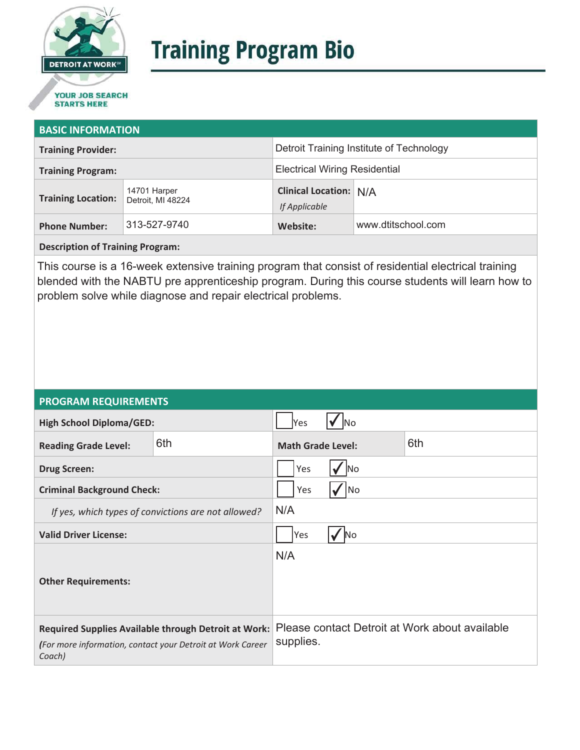

# **Training Program Bio**

## **STARTS HERE**

#### **BASIC INFORMATION**

| <b>Training Provider:</b> |                                   | Detroit Training Institute of Technology       |                    |
|---------------------------|-----------------------------------|------------------------------------------------|--------------------|
| <b>Training Program:</b>  |                                   | <b>Electrical Wiring Residential</b>           |                    |
| <b>Training Location:</b> | 14701 Harper<br>Detroit, MI 48224 | <b>Clinical Location: N/A</b><br>If Applicable |                    |
| <b>Phone Number:</b>      | 313-527-9740                      | Website:                                       | www.dtitschool.com |

**Description of Training Program:** 

This course is a 16-week extensive training program that consist of residential electrical training blended with the NABTU pre apprenticeship program. During this course students will learn how to problem solve while diagnose and repair electrical problems.

#### **PROGRAM REQUIREMENTS**

| <b>High School Diploma/GED:</b>                                                                                              |     | Yes                      | INo |                                                |
|------------------------------------------------------------------------------------------------------------------------------|-----|--------------------------|-----|------------------------------------------------|
| <b>Reading Grade Level:</b>                                                                                                  | 6th | <b>Math Grade Level:</b> |     | 6th                                            |
| <b>Drug Screen:</b>                                                                                                          |     | Yes<br>lNo               |     |                                                |
| <b>Criminal Background Check:</b>                                                                                            |     | Yes<br> No               |     |                                                |
| If yes, which types of convictions are not allowed?                                                                          |     | N/A                      |     |                                                |
| <b>Valid Driver License:</b>                                                                                                 |     | Yes<br>N <sub>o</sub>    |     |                                                |
| <b>Other Requirements:</b>                                                                                                   |     | N/A                      |     |                                                |
| Required Supplies Available through Detroit at Work:<br>(For more information, contact your Detroit at Work Career<br>Coach) |     | supplies.                |     | Please contact Detroit at Work about available |